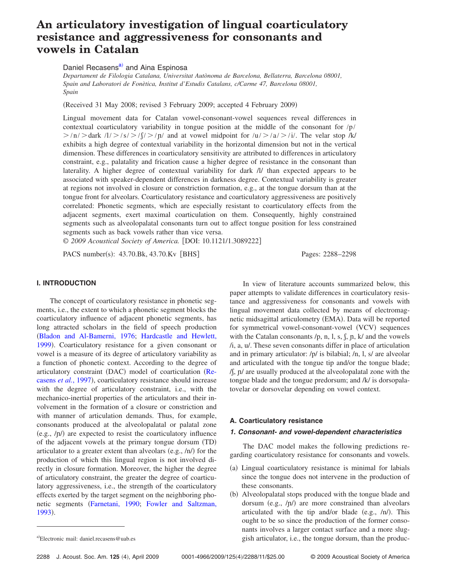# **An articulatory investigation of lingual coarticulatory resistance and aggressiveness for consonants and vowels in Catalan**

Daniel Recasens<sup>a)</sup> and Aina Espino[sa](#page-0-0)

*Departament de Filologia Catalana, Universitat Autònoma de Barcelona, Bellaterra, Barcelona 08001, Spain and Laboratori de Fonètica, Institut d'Estudis Catalans, c/Carme 47, Barcelona 08001, Spain*

(Received 31 May 2008; revised 3 February 2009; accepted 4 February 2009)

Lingual movement data for Catalan vowel-consonant-vowel sequences reveal differences in contextual coarticulatory variability in tongue position at the middle of the consonant for  $/p/$  $\frac{1}{2}$  /n/  $\frac{1}{2}$  dark /l/  $>$ /s/  $\frac{1}{2}$ /f/  $>$ /p/ and at vowel midpoint for /u/  $>$ /a/ $>$ i/. The velar stop /k/ exhibits a high degree of contextual variability in the horizontal dimension but not in the vertical dimension. These differences in coarticulatory sensitivity are attributed to differences in articulatory constraint, e.g., palatality and frication cause a higher degree of resistance in the consonant than laterality. A higher degree of contextual variability for dark /l/ than expected appears to be associated with speaker-dependent differences in darkness degree. Contextual variability is greater at regions not involved in closure or constriction formation, e.g., at the tongue dorsum than at the tongue front for alveolars. Coarticulatory resistance and coarticulatory aggressiveness are positively correlated: Phonetic segments, which are especially resistant to coarticulatory effects from the adjacent segments, exert maximal coarticulation on them. Consequently, highly constrained segments such as alveolopalatal consonants turn out to affect tongue position for less constrained segments such as back vowels rather than vice versa.

© 2009 Acoustical Society of America. [DOI: 10.1121/1.3089222]

PACS number(s): 43.70.Bk, 43.70.Kv [BHS] Pages: 2288–2298

## **I. INTRODUCTION**

The concept of coarticulatory resistance in phonetic segments, i.e., the extent to which a phonetic segment blocks the coarticulatory influence of adjacent phonetic segments, has long attracted scholars in the field of speech production [Bladon and Al-Bamerni, 1976;](#page-10-0) [Hardcastle and Hewlett,](#page-10-1) [1999](#page-10-1)). Coarticulatory resistance for a given consonant or vowel is a measure of its degree of articulatory variability as a function of phonetic context. According to the degree of articulatory constraint (DAC) model of coarticulation ([Re](#page-10-2)[casens](#page-10-2) et al., 1997), coarticulatory resistance should increase with the degree of articulatory constraint, i.e., with the mechanico-inertial properties of the articulators and their involvement in the formation of a closure or constriction and with manner of articulation demands. Thus, for example, consonants produced at the alveolopalatal or palatal zone (e.g.,  $/p/$ ) are expected to resist the coarticulatory influence of the adjacent vowels at the primary tongue dorsum (TD) articulator to a greater extent than alveolars  $(e.g.,/n/$  for the production of which this lingual region is not involved directly in closure formation. Moreover, the higher the degree of articulatory constraint, the greater the degree of coarticulatory aggressiveness, i.e., the strength of the coarticulatory effects exerted by the target segment on the neighboring pho-netic segments ([Farnetani, 1990;](#page-10-3) [Fowler and Saltzman,](#page-10-4) [1993](#page-10-4)).

In view of literature accounts summarized below, this paper attempts to validate differences in coarticulatory resistance and aggressiveness for consonants and vowels with lingual movement data collected by means of electromagnetic midsagittal articulometry (EMA). Data will be reported for symmetrical vowel-consonant-vowel (VCV) sequences with the Catalan consonants  $/p$ , n, l, s, f, n, k/ and the vowels /i, a, u/. These seven consonants differ in place of articulation and in primary articulator: /p/ is bilabial; /n, l, s/ are alveolar and articulated with the tongue tip and/or the tongue blade;  $\int$ ,  $\int$ ,  $\int$  are usually produced at the alveolopalatal zone with the tongue blade and the tongue predorsum; and /k/ is dorsopalatovelar or dorsovelar depending on vowel context.

## **A. Coarticulatory resistance**

#### *1. Consonant- and vowel-dependent characteristics*

The DAC model makes the following predictions regarding coarticulatory resistance for consonants and vowels.

- (a) Lingual coarticulatory resistance is minimal for labials since the tongue does not intervene in the production of these consonants.
- (b) Alveolopalatal stops produced with the tongue blade and dorsum (e.g., /p/) are more constrained than alveolars articulated with the tip and/or blade (e.g., /n/). This ought to be so since the production of the former consonants involves a larger contact surface and a more sluggish articulator, i.e., the tongue dorsum, than the produc-

<span id="page-0-0"></span>Electronic mail: daniel.recasens@uab.es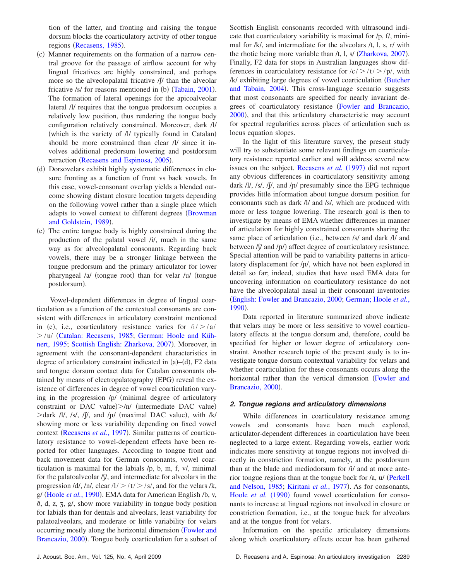tion of the latter, and fronting and raising the tongue dorsum blocks the coarticulatory activity of other tongue regions ([Recasens, 1985](#page-10-5)).

- (c) Manner requirements on the formation of a narrow central groove for the passage of airflow account for why lingual fricatives are highly constrained, and perhaps more so the alveolopalatal fricative  $\int \int$  than the alveolar fricative /s/ for reasons mentioned in (b) ([Tabain, 2001](#page-10-6)). The formation of lateral openings for the apicoalveolar lateral /l/ requires that the tongue predorsum occupies a relatively low position, thus rendering the tongue body configuration relatively constrained. Moreover, dark /l/ (which is the variety of /l/ typically found in Catalan) should be more constrained than clear  $\Lambda$  since it involves additional predorsum lowering and postdorsum retraction ([Recasens and Espinosa, 2005](#page-10-7)).
- (d) Dorsovelars exhibit highly systematic differences in closure fronting as a function of front vs back vowels. In this case, vowel-consonant overlap yields a blended outcome showing distant closure location targets depending on the following vowel rather than a single place which adapts to vowel context to different degrees ([Browman](#page-10-8) [and Goldstein, 1989](#page-10-8)).
- (e) The entire tongue body is highly constrained during the production of the palatal vowel /i/, much in the same way as for alveolopalatal consonants. Regarding back vowels, there may be a stronger linkage between the tongue predorsum and the primary articulator for lower pharyngeal /a/ (tongue root) than for velar /u/ (tongue postdorsum).

Vowel-dependent differences in degree of lingual coarticulation as a function of the contextual consonants are consistent with differences in articulatory constraint mentioned in (e), i.e., coarticulatory resistance varies for  $/i$  / > /a/  $>$ /u/ ([Catalan: Recasens, 1985;](#page-10-5) [German: Hoole and Küh](#page-10-9)[nert, 1995;](#page-10-9) [Scottish English: Zharkova, 2007](#page-10-10)). Moreover, in agreement with the consonant-dependent characteristics in degree of articulatory constraint indicated in  $(a)$ – $(d)$ , F2 data and tongue dorsum contact data for Catalan consonants obtained by means of electropalatography (EPG) reveal the existence of differences in degree of vowel coarticulation varying in the progression  $/p/$  (minimal degree of articulatory constraint or DAC value) >/n/ (intermediate DAC value) >dark  $\Lambda$ I/, /s/, / $\Lambda$ /, and / $\Lambda$ / (maximal DAC value), with /k/ showing more or less variability depending on fixed vowel context ([Recasens](#page-10-2) et al., 1997). Similar patterns of coarticulatory resistance to vowel-dependent effects have been reported for other languages. According to tongue front and back movement data for German consonants, vowel coarticulation is maximal for the labials /p, b, m, f, v/, minimal for the palatoalveolar  $\sqrt{y}$ , and intermediate for alveolars in the progression /d/, /n/, clear  $/1$  /  $>$  /t/  $>$  /s/, and for the velars /k, g/ (Hoole et al.[, 1990](#page-10-0)). EMA data for American English /b, v, ð, d, z, 3, g/, show more variability in tongue body position for labials than for dentals and alveolars, least variability for palatoalveolars, and moderate or little variability for velars occurring mostly along the horizontal dimension ([Fowler and](#page-10-11) [Brancazio, 2000](#page-10-11)). Tongue body coarticulation for a subset of

Scottish English consonants recorded with ultrasound indicate that coarticulatory variability is maximal for /p, f/, minimal for /k/, and intermediate for the alveolars /t, l, s, r/ with the rhotic being more variable than  $/t$ , l, s/ ([Zharkova, 2007](#page-10-10)). Finally, F2 data for stops in Australian languages show differences in coarticulatory resistance for  $|c| > |t| > |p|$ , with  $/k/$  exhibiting large degrees of vowel coarticulation ([Butcher](#page-10-12) [and Tabain, 2004](#page-10-12)). This cross-language scenario suggests that most consonants are specified for nearly invariant de-grees of coarticulatory resistance ([Fowler and Brancazio,](#page-10-11) [2000](#page-10-11)), and that this articulatory characteristic may account for spectral regularities across places of articulation such as locus equation slopes.

In the light of this literature survey, the present study will try to substantiate some relevant findings on coarticulatory resistance reported earlier and will address several new issues on the subject. [Recasens](#page-10-2) *et al.* (1997) did not report any obvious differences in coarticulatory sensitivity among dark  $\pi$ /l/, /s/, / $\pi$ / $\pi$ /, and / $\pi$ / presumably since the EPG technique provides little information about tongue dorsum position for consonants such as dark /l/ and /s/, which are produced with more or less tongue lowering. The research goal is then to investigate by means of EMA whether differences in manner of articulation for highly constrained consonants sharing the same place of articulation (i.e., between /s/ and dark /l/ and between /ʃ/ and /ɲ/) affect degree of coarticulatory resistance. Special attention will be paid to variability patterns in articulatory displacement for  $/p/$ , which have not been explored in detail so far; indeed, studies that have used EMA data for uncovering information on coarticulatory resistance do not have the alveolopalatal nasal in their consonant inventories [English: Fowler and Brancazio, 2000;](#page-10-11) [German; Hoole](#page-10-0) *et al.*, [1990](#page-10-0)).

Data reported in literature summarized above indicate that velars may be more or less sensitive to vowel coarticulatory effects at the tongue dorsum and, therefore, could be specified for higher or lower degree of articulatory constraint. Another research topic of the present study is to investigate tongue dorsum contextual variability for velars and whether coarticulation for these consonants occurs along the horizontal rather than the vertical dimension ([Fowler and](#page-10-11) [Brancazio, 2000](#page-10-11)).

#### *2. Tongue regions and articulatory dimensions*

While differences in coarticulatory resistance among vowels and consonants have been much explored, articulator-dependent differences in coarticulation have been neglected to a large extent. Regarding vowels, earlier work indicates more sensitivity at tongue regions not involved directly in constriction formation, namely, at the postdorsum than at the blade and mediodorsum for /i/ and at more anterior tongue regions than at the tongue back for  $/a$ ,  $u/$  ([Perkell](#page-10-13) [and Nelson, 1985;](#page-10-13) [Kiritani](#page-10-14) et al., 1977). As for consonants, [Hoole](#page-10-0) et al. (1990) found vowel coarticulation for consonants to increase at lingual regions not involved in closure or constriction formation, i.e., at the tongue back for alveolars and at the tongue front for velars.

Information on the specific articulatory dimensions along which coarticulatory effects occur has been gathered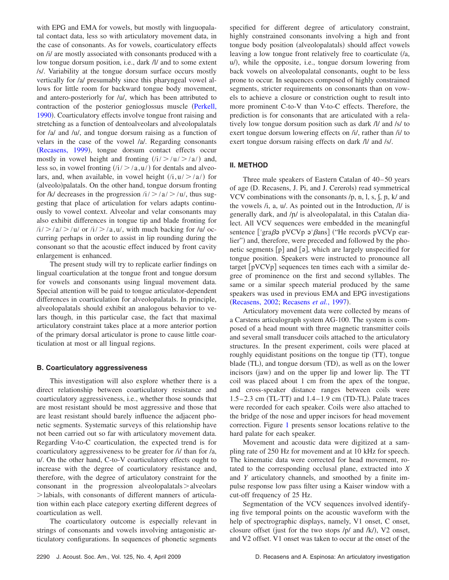with EPG and EMA for vowels, but mostly with linguopalatal contact data, less so with articulatory movement data, in the case of consonants. As for vowels, coarticulatory effects on /i/ are mostly associated with consonants produced with a low tongue dorsum position, i.e., dark /l/ and to some extent /s/. Variability at the tongue dorsum surface occurs mostly vertically for /a/ presumably since this pharyngeal vowel allows for little room for backward tongue body movement, and antero-posteriorly for /u/, which has been attributed to contraction of the posterior genioglossus muscle ([Perkell,](#page-10-15) [1990](#page-10-15)). Coarticulatory effects involve tongue front raising and stretching as a function of dentoalveolars and alveolopalatals for /a/ and /u/, and tongue dorsum raising as a function of velars in the case of the vowel /a/. Regarding consonants ([Recasens, 1999](#page-10-16)), tongue dorsum contact effects occur mostly in vowel height and fronting  $(i/$  >/u/ >/a/) and, less so, in vowel fronting  $(i/$  > /a,u/) for dentals and alveolars, and, when available, in vowel height  $(i, u) > (a)$  for (alveolo)palatals. On the other hand, tongue dorsum fronting for /k/ decreases in the progression  $/i$  /  $\frac{2}{a}$  /u/, thus suggesting that place of articulation for velars adapts continuously to vowel context. Alveolar and velar consonants may also exhibit differences in tongue tip and blade fronting for  $\langle i| > |a| > |u|$  or  $\langle i| > |a, u|$ , with much backing for  $\langle u|$  occurring perhaps in order to assist in lip rounding during the consonant so that the acoustic effect induced by front cavity enlargement is enhanced.

The present study will try to replicate earlier findings on lingual coarticulation at the tongue front and tongue dorsum for vowels and consonants using lingual movement data. Special attention will be paid to tongue articulator-dependent differences in coarticulation for alveolopalatals. In principle, alveolopalatals should exhibit an analogous behavior to velars though, in this particular case, the fact that maximal articulatory constraint takes place at a more anterior portion of the primary dorsal articulator is prone to cause little coarticulation at most or all lingual regions.

## **B. Coarticulatory aggressiveness**

This investigation will also explore whether there is a direct relationship between coarticulatory resistance and coarticulatory aggressiveness, i.e., whether those sounds that are most resistant should be most aggressive and those that are least resistant should barely influence the adjacent phonetic segments. Systematic surveys of this relationship have not been carried out so far with articulatory movement data. Regarding V-to-C coarticulation, the expected trend is for coarticulatory aggressiveness to be greater for /i/ than for /a, u/. On the other hand, C-to-V coarticulatory effects ought to increase with the degree of coarticulatory resistance and, therefore, with the degree of articulatory constraint for the consonant in the progression alveolopalatals  $>$  alveolars >labials, with consonants of different manners of articulation within each place category exerting different degrees of coarticulation as well.

The coarticulatory outcome is especially relevant in strings of consonants and vowels involving antagonistic articulatory configurations. In sequences of phonetic segments specified for different degree of articulatory constraint, highly constrained consonants involving a high and front tongue body position (alveolopalatals) should affect vowels leaving a low tongue front relatively free to coarticulate  $\theta/a$ , u/), while the opposite, i.e., tongue dorsum lowering from back vowels on alveolopalatal consonants, ought to be less prone to occur. In sequences composed of highly constrained segments, stricter requirements on consonants than on vowels to achieve a closure or constriction ought to result into more prominent C-to-V than V-to-C effects. Therefore, the prediction is for consonants that are articulated with a relatively low tongue dorsum position such as dark /l/ and /s/ to exert tongue dorsum lowering effects on /i/, rather than /i/ to exert tongue dorsum raising effects on dark /l/ and /s/.

## **II. METHOD**

Three male speakers of Eastern Catalan of 40–50 years of age (D. Recasens, J. Pi, and J. Cererols) read symmetrical VCV combinations with the consonants  $/p$ , n, l, s,  $\int$ ,  $p$ , k/ and the vowels /i, a, u/. As pointed out in the Introduction, /l/ is generally dark, and  $/p/$  is alveolopalatal, in this Catalan dialect. All VCV sequences were embedded in the meaningful sentence ['gra $\beta$ ə pVCVp ə' $\beta$ ans] ("He records pVCVp earlier") and, therefore, were preceded and followed by the phonetic segments  $[p]$  and  $[\infty]$ , which are largely unspecified for tongue position. Speakers were instructed to pronounce all target  $[pVCVp]$  sequences ten times each with a similar degree of prominence on the first and second syllables. The same or a similar speech material produced by the same speakers was used in previous EMA and EPG investigations ([Recasens, 2002;](#page-10-17) [Recasens](#page-10-2) et al., 1997).

Articulatory movement data were collected by means of a Carstens articulograph system AG-100. The system is composed of a head mount with three magnetic transmitter coils and several small transducer coils attached to the articulatory structures. In the present experiment, coils were placed at roughly equidistant positions on the tongue tip (TT), tongue blade (TL), and tongue dorsum (TD), as well as on the lower incisors (jaw) and on the upper lip and lower lip. The TT coil was placed about 1 cm from the apex of the tongue, and cross-speaker distance ranges between coils were  $1.5-2.3$  cm (TL-TT) and  $1.4-1.9$  cm (TD-TL). Palate traces were recorded for each speaker. Coils were also attached to the bridge of the nose and upper incisors for head movement correction. Figure [1](#page-3-0) presents sensor locations relative to the hard palate for each speaker.

Movement and acoustic data were digitized at a sampling rate of 250 Hz for movement and at 10 kHz for speech. The kinematic data were corrected for head movement, rotated to the corresponding occlusal plane, extracted into *X* and *Y* articulatory channels, and smoothed by a finite impulse response low pass filter using a Kaiser window with a cut-off frequency of 25 Hz.

Segmentation of the VCV sequences involved identifying five temporal points on the acoustic waveform with the help of spectrographic displays, namely, V1 onset, C onset, closure offset (just for the two stops /p/ and /k/), V2 onset, and V2 offset. V1 onset was taken to occur at the onset of the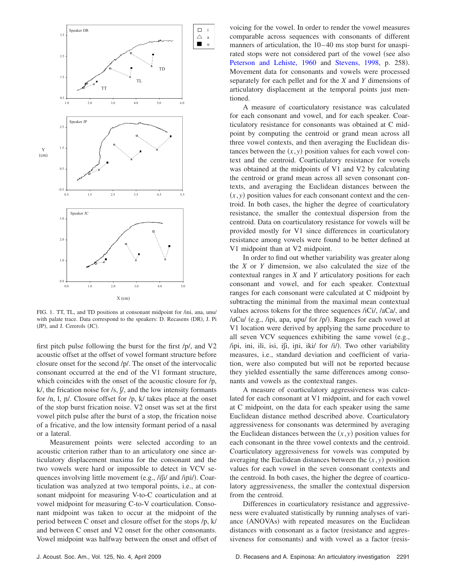<span id="page-3-0"></span>

FIG. 1. TT, TL, and TD positions at consonant midpoint for /ini, ana, unu/ with palate trace. Data correspond to the speakers: D. Recasens (DR), J. Pi (JP), and J. Cererols (JC).

first pitch pulse following the burst for the first /p/, and V2 acoustic offset at the offset of vowel formant structure before closure onset for the second /p/. The onset of the intervocalic consonant occurred at the end of the V1 formant structure, which coincides with the onset of the acoustic closure for  $/p$ , k/, the frication noise for  $/s$ ,  $\beta$ , and the low intensity formants for  $/n$ , 1,  $p$ . Closure offset for  $/p$ ,  $k/$  takes place at the onset of the stop burst frication noise. V2 onset was set at the first vowel pitch pulse after the burst of a stop, the frication noise of a fricative, and the low intensity formant period of a nasal or a lateral.

Measurement points were selected according to an acoustic criterion rather than to an articulatory one since articulatory displacement maxima for the consonant and the two vowels were hard or impossible to detect in VCV sequences involving little movement (e.g., /ifi/ and /ini/). Coarticulation was analyzed at two temporal points, i.e., at consonant midpoint for measuring V-to-C coarticulation and at vowel midpoint for measuring C-to-V coarticulation. Consonant midpoint was taken to occur at the midpoint of the period between C onset and closure offset for the stops /p, k/ and between C onset and V2 onset for the other consonants. Vowel midpoint was halfway between the onset and offset of voicing for the vowel. In order to render the vowel measures comparable across sequences with consonants of different manners of articulation, the  $10-40$  ms stop burst for unaspirated stops were not considered part of the vowel (see also [Peterson and Lehiste, 1960](#page-10-18) and [Stevens, 1998,](#page-10-19) p. 258). Movement data for consonants and vowels were processed separately for each pellet and for the *X* and *Y* dimensions of articulatory displacement at the temporal points just mentioned.

A measure of coarticulatory resistance was calculated for each consonant and vowel, and for each speaker. Coarticulatory resistance for consonants was obtained at C midpoint by computing the centroid or grand mean across all three vowel contexts, and then averaging the Euclidean distances between the  $(x, y)$  position values for each vowel context and the centroid. Coarticulatory resistance for vowels was obtained at the midpoints of V1 and V2 by calculating the centroid or grand mean across all seven consonant contexts, and averaging the Euclidean distances between the  $(x, y)$  position values for each consonant context and the centroid. In both cases, the higher the degree of coarticulatory resistance, the smaller the contextual dispersion from the centroid. Data on coarticulatory resistance for vowels will be provided mostly for V1 since differences in coarticulatory resistance among vowels were found to be better defined at V1 midpoint than at V2 midpoint.

In order to find out whether variability was greater along the *X* or *Y* dimension, we also calculated the size of the contextual ranges in *X* and *Y* articulatory positions for each consonant and vowel, and for each speaker. Contextual ranges for each consonant were calculated at C midpoint by subtracting the minimal from the maximal mean contextual values across tokens for the three sequences /iCi/, /aCa/, and /uCu/ (e.g., /ipi, apa, upu/ for /p/). Ranges for each vowel at V1 location were derived by applying the same procedure to all seven VCV sequences exhibiting the same vowel (e.g., /ipi, ini, ili, isi, ifi, ipi, iki/ for /i/). Two other variability measures, i.e., standard deviation and coefficient of variation, were also computed but will not be reported because they yielded essentially the same differences among consonants and vowels as the contextual ranges.

A measure of coarticulatory aggressiveness was calculated for each consonant at V1 midpoint, and for each vowel at C midpoint, on the data for each speaker using the same Euclidean distance method described above. Coarticulatory aggressiveness for consonants was determined by averaging the Euclidean distances between the  $(x, y)$  position values for each consonant in the three vowel contexts and the centroid. Coarticulatory aggressiveness for vowels was computed by averaging the Euclidean distances between the  $(x, y)$  position values for each vowel in the seven consonant contexts and the centroid. In both cases, the higher the degree of coarticulatory aggressiveness, the smaller the contextual dispersion from the centroid.

Differences in coarticulatory resistance and aggressiveness were evaluated statistically by running analyses of variance (ANOVAs) with repeated measures on the Euclidean distances with consonant as a factor (resistance and aggressiveness for consonants) and with vowel as a factor (resis-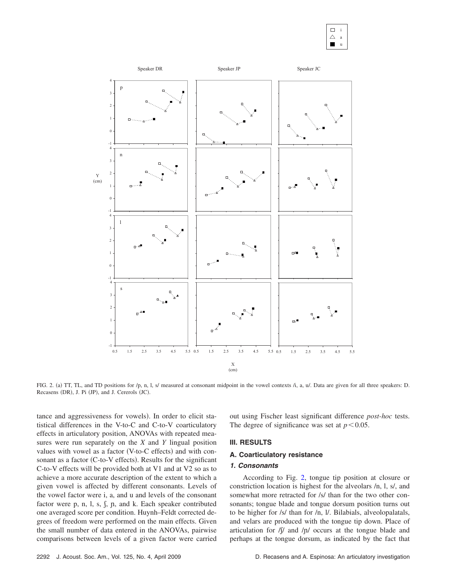

<span id="page-4-0"></span>

FIG. 2. (a) TT, TL, and TD positions for  $/p$ , n, l, s/ measured at consonant midpoint in the vowel contexts  $/i$ , a, u/. Data are given for all three speakers: D. Recasens (DR), J. Pi (JP), and J. Cererols (JC).

tance and aggressiveness for vowels). In order to elicit statistical differences in the V-to-C and C-to-V coarticulatory effects in articulatory position, ANOVAs with repeated measures were run separately on the *X* and *Y* lingual position values with vowel as a factor (V-to-C effects) and with consonant as a factor (C-to-V effects). Results for the significant C-to-V effects will be provided both at V1 and at V2 so as to achieve a more accurate description of the extent to which a given vowel is affected by different consonants. Levels of the vowel factor were i, a, and u and levels of the consonant factor were p, n, l, s,  $\int$ ,  $p$ , and k. Each speaker contributed one averaged score per condition. Huynh–Feldt corrected degrees of freedom were performed on the main effects. Given the small number of data entered in the ANOVAs, pairwise comparisons between levels of a given factor were carried

out using Fischer least significant difference *post-hoc* tests. The degree of significance was set at  $p<0.05$ .

## **III. RESULTS**

## **A. Coarticulatory resistance**

## *1. Consonants*

According to Fig. [2,](#page-4-0) tongue tip position at closure or constriction location is highest for the alveolars /n, l, s/, and somewhat more retracted for /s/ than for the two other consonants; tongue blade and tongue dorsum position turns out to be higher for /s/ than for /n, l/. Bilabials, alveolopalatals, and velars are produced with the tongue tip down. Place of articulation for  $/\int$  and  $/\int$  occurs at the tongue blade and perhaps at the tongue dorsum, as indicated by the fact that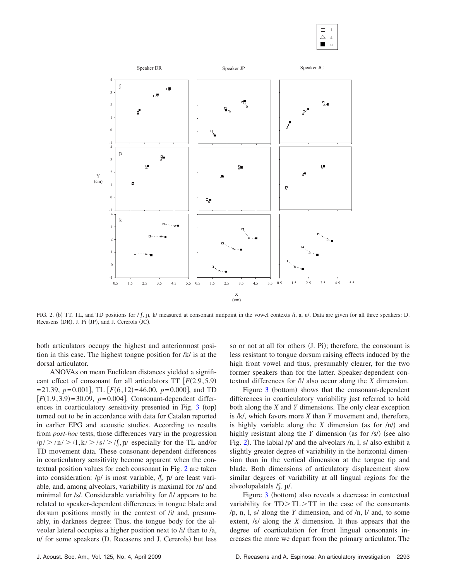



FIG. 2. (b) TT, TL, and TD positions for  $/\int$ , p, k/ measured at consonant midpoint in the vowel contexts  $\ell$ , a, u/. Data are given for all three speakers: D. Recasens (DR), J. Pi (JP), and J. Cererols (JC).

both articulators occupy the highest and anteriormost position in this case. The highest tongue position for /k/ is at the dorsal articulator.

ANOVAs on mean Euclidean distances yielded a significant effect of consonant for all articulators TT  $[F(2.9, 5.9)]$  $=$  21.39,  $p$ =0.001], TL [ $F(6, 12)$ =46.00,  $p$ =0.000], and TD  $[F(1.9, 3.9) = 30.09, p = 0.004]$ . Consonant-dependent differ-ences in coarticulatory sensitivity presented in Fig. [3](#page-6-0) (top) turned out to be in accordance with data for Catalan reported in earlier EPG and acoustic studies. According to results from *post-hoc* tests, those differences vary in the progression  $/p$  / > /n / > /1, k / > /s / > / f, p / especially for the TL and/or TD movement data. These consonant-dependent differences in coarticulatory sensitivity become apparent when the contextual position values for each consonant in Fig. [2](#page-4-0) are taken into consideration:  $/p/$  is most variable,  $\int$ ,  $p/$  are least variable, and, among alveolars, variability is maximal for /n/ and minimal for /s/. Considerable variability for /l/ appears to be related to speaker-dependent differences in tongue blade and dorsum positions mostly in the context of /i/ and, presumably, in darkness degree: Thus, the tongue body for the alveolar lateral occupies a higher position next to /i/ than to /a, u/ for some speakers (D. Recasens and J. Cererols) but less

so or not at all for others (J. Pi); therefore, the consonant is less resistant to tongue dorsum raising effects induced by the high front vowel and thus, presumably clearer, for the two former speakers than for the latter. Speaker-dependent contextual differences for /l/ also occur along the *X* dimension.

Figure [3](#page-6-0) (bottom) shows that the consonant-dependent differences in coarticulatory variability just referred to hold both along the *X* and *Y* dimensions. The only clear exception is /k/, which favors more *X* than *Y* movement and, therefore, is highly variable along the  $X$  dimension (as for  $/n/$ ) and highly resistant along the  $Y$  dimension (as for  $\sqrt{s}$ ) (see also Fig. [2](#page-4-0)). The labial /p/ and the alveolars /n, l, s/ also exhibit a slightly greater degree of variability in the horizontal dimension than in the vertical dimension at the tongue tip and blade. Both dimensions of articulatory displacement show similar degrees of variability at all lingual regions for the alveolopalatals  $\int$ ,  $\pi$ .

Figure [3](#page-6-0) (bottom) also reveals a decrease in contextual variability for  $TD > TL > TT$  in the case of the consonants /p, n, l, s/ along the *Y* dimension, and of /n, l/ and, to some extent, /s/ along the *X* dimension. It thus appears that the degree of coarticulation for front lingual consonants increases the more we depart from the primary articulator. The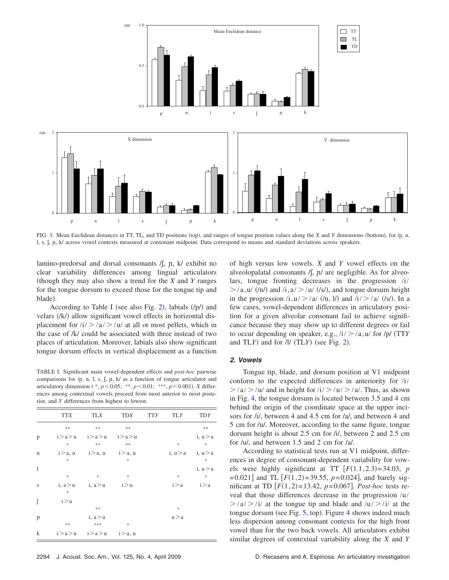<span id="page-6-0"></span>

FIG. 3. Mean Euclidean distances in TT, TL, and TD positions (top), and ranges of tongue position values along the *X* and *Y* dimensions (bottom), for /p, n, l, s, f, p, k/ across vowel contexts measured at consonant midpoint. Data correspond to means and standard deviations across speakers.

lamino-predorsal and dorsal consonants  $\beta$ , p, k/ exhibit no clear variability differences among lingual articulators though they may also show a trend for the *X* and *Y* ranges for the tongue dorsum to exceed those for the tongue tip and blade).

According to Table [I](#page-6-1) (see also Fig. [2](#page-4-0)), labials  $(1p/2)$  and velars (/k/) allow significant vowel effects in horizontal displacement for  $/i$  >  $/a$  >  $/u$  at all or most pellets, which in the case of /k/ could be associated with three instead of two places of articulation. Moreover, labials also show significant tongue dorsum effects in vertical displacement as a function

<span id="page-6-1"></span>TABLE I. Significant main vowel-dependent effects and *post-hoc* pairwise comparisons for  $/p$ , n, l, s, f, p, k/ as a function of tongue articulator and articulatory dimension  $(*, p<0.05; **, p<0.01; ***, p<0.001)$ . *X* differences among contextual vowels proceed from most anterior to most posterior, and *Y* differences from highest to lowest.

|              | <b>TTX</b>                      | <b>TLX</b>                                  | TDX         | <b>TTY</b> | <b>TLY</b> | <b>TDY</b>         |
|--------------|---------------------------------|---------------------------------------------|-------------|------------|------------|--------------------|
|              | **                              | **                                          | **          |            |            | **                 |
| p            | $\ast$                          | $i > a > u$ $i > a > u$ $i > a > u$<br>$**$ | **          |            | $\ast$     | i, u > a<br>$\ast$ |
| $\mathbf n$  | $\ast$                          | $i > a$ , $u$ $i > a$ , $u$ $i > a$ , $u$   | $\ast$      |            | i, u > a   | i, u > a<br>$\ast$ |
| $\mathbf{1}$ | $\ast$                          | *                                           | $\ast$      |            | $\ast$     | i, u > a<br>$\ast$ |
| S            | i, $a > u$ i, $a > u$<br>$\ast$ |                                             | i > u       |            | i > a      | i > a              |
| $\int$       | i > u                           | **                                          |             |            | $\ast$     |                    |
| $\mathbf{n}$ | **                              | i, a > u<br>***                             | $\ast$      |            | u > a      |                    |
| k            |                                 | $i > a > u$ $i > a > u$                     | $i > a$ , u |            |            |                    |

of high versus low vowels. *X* and *Y* vowel effects on the alveolopalatal consonants  $\Lambda$ ,  $\eta$  are negligible. As for alveolars, tongue fronting decreases in the progression /i/  $>$ /a,u/ (/n/) and /i,a/ $>$ /u/ (/s/), and tongue dorsum height in the progression  $/i, u \ge a / (n, 1)$  and  $/i \ge a / (s)$ . In a few cases, vowel-dependent differences in articulatory position for a given alveolar consonant fail to achieve significance because they may show up to different degrees or fail to occur depending on speaker, e.g.,  $/i$  > / a, u/ for /p/ (TT*Y* and TLY) and for  $\Lambda$ / (TLY) (see Fig. [2](#page-4-0)).

#### *2. Vowels*

Tongue tip, blade, and dorsum position at V1 midpoint conform to the expected differences in anteriority for /i/  $>$ /a/  $>$ /u/ and in height for /i/  $>$ /u/ $>$ /a/. Thus, as shown in Fig. [4,](#page-7-0) the tongue dorsum is located between 3.5 and 4 cm behind the origin of the coordinate space at the upper incisors for /i/, between 4 and 4.5 cm for /a/, and between 4 and 5 cm for /u/. Moreover, according to the same figure, tongue dorsum height is about 2.5 cm for /i/, between 2 and 2.5 cm for /u/, and between 1.5 and 2 cm for /a/.

According to statistical tests run at V1 midpoint, differences in degree of consonant-dependent variability for vowels were highly significant at TT  $[F(1.1, 2.3) = 34.03, p$  $=0.021$ ] and TL [ $F(1,2) = 39.55$ ,  $p=0.024$ ], and barely significant at TD  $[F(1,2)=13.42, p=0.067]$ . *Post-hoc* tests reveal that those differences decrease in the progression /u/  $>$ /a/ $>$ /i/ at the tongue tip and blade and /u/ $>$ /i/ at the tongue dorsum (see Fig. [5,](#page-8-0) top). Figure [4](#page-7-0) shows indeed much less dispersion among consonant contexts for the high front vowel than for the two back vowels. All articulators exhibit similar degrees of contextual variability along the *X* and *Y*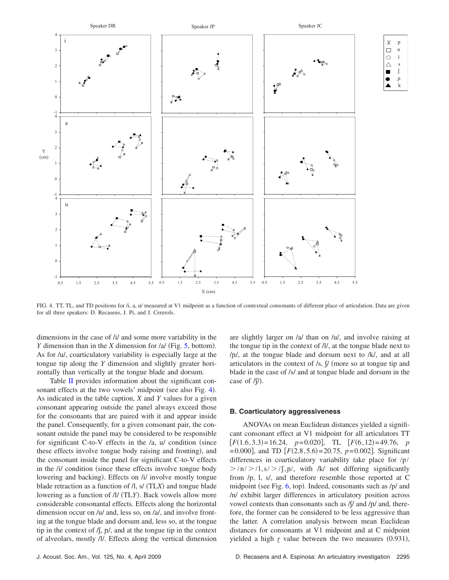<span id="page-7-0"></span>

FIG. 4. TT, TL, and TD positions for  $\beta$ , a, u/ measured at V1 midpoint as a function of contextual consonants of different place of articulation. Data are given for all three speakers: D. Recasens, J. Pi, and J. Cererols.

dimensions in the case of /i/ and some more variability in the *Y* dimension than in the *X* dimension for /a/ (Fig. [5,](#page-8-0) bottom). As for /u/, coarticulatory variability is especially large at the tongue tip along the *Y* dimension and slightly greater horizontally than vertically at the tongue blade and dorsum.

Table [II](#page-9-0) provides information about the significant con-sonant effects at the two vowels' midpoint (see also Fig. [4](#page-7-0)). As indicated in the table caption, *X* and *Y* values for a given consonant appearing outside the panel always exceed those for the consonants that are paired with it and appear inside the panel. Consequently, for a given consonant pair, the consonant outside the panel may be considered to be responsible for significant C-to-V effects in the  $/a$ ,  $u/$  condition (since these effects involve tongue body raising and fronting), and the consonant inside the panel for significant C-to-V effects in the  $\pi$  condition (since these effects involve tongue body lowering and backing). Effects on /i/ involve mostly tongue blade retraction as a function of  $\Lambda$ , s/ (TLX) and tongue blade lowering as a function of /l/ (TLY). Back vowels allow more considerable consonantal effects. Effects along the horizontal dimension occur on /u/ and, less so, on /a/, and involve fronting at the tongue blade and dorsum and, less so, at the tongue tip in the context of  $\int$ ,  $\frac{p}{n}$ , and at the tongue tip in the context of alveolars, mostly /l/. Effects along the vertical dimension are slightly larger on /a/ than on /u/, and involve raising at the tongue tip in the context of /l/, at the tongue blade next to  $/p/$ , at the tongue blade and dorsum next to  $/k/$ , and at all articulators in the context of  $/s$ ,  $\int$  (more so at tongue tip and blade in the case of /s/ and at tongue blade and dorsum in the case of  $/\mathcal{Y}$ ).

p n l s  $\int$  $\,$  J1  $\,$ k

 $\mathbb{X}$  $\Box$  $\bigcirc$  $\triangle$  $\blacksquare$ 

## **B. Coarticulatory aggressiveness**

ANOVAs on mean Euclidean distances yielded a significant consonant effect at V1 midpoint for all articulators TT  $[F(1.6, 3.3) = 16.24, p = 0.020], \text{TL} [F(6, 12) = 49.76, p$  $=0.000$ ], and TD [ $F(2.8, 5.6) = 20.75$ ,  $p = 0.002$ ]. Significant differences in coarticulatory variability take place for /p/  $>$ /n/  $>$ /l,s/  $>$ / $\int$ ,  $p/$ , with /k/ not differing significantly from /p, l, s/, and therefore resemble those reported at C midpoint (see Fig. [6,](#page-9-1) top). Indeed, consonants such as /p/ and /n/ exhibit larger differences in articulatory position across vowel contexts than consonants such as  $\int \int$  and  $\int$ n/ and, therefore, the former can be considered to be less aggressive than the latter. A correlation analysis between mean Euclidean distances for consonants at V1 midpoint and at C midpoint yielded a high  $r$  value between the two measures  $(0.931)$ ,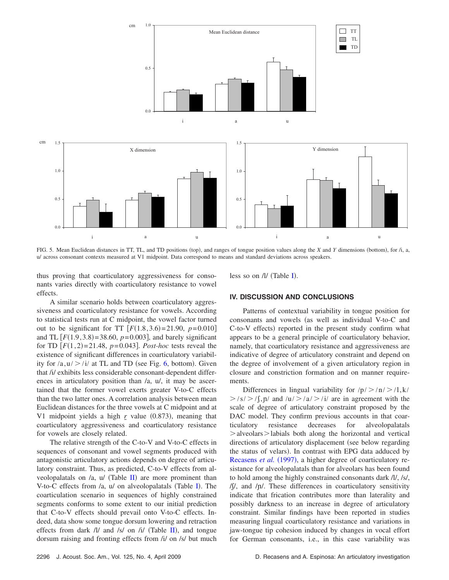<span id="page-8-0"></span>

FIG. 5. Mean Euclidean distances in TT, TL, and TD positions (top), and ranges of tongue position values along the *X* and *Y* dimensions (bottom), for /i, a, u/ across consonant contexts measured at V1 midpoint. Data correspond to means and standard deviations across speakers.

thus proving that coarticulatory aggressiveness for consonants varies directly with coarticulatory resistance to vowel effects.

A similar scenario holds between coarticulatory aggressiveness and coarticulatory resistance for vowels. According to statistical tests run at C midpoint, the vowel factor turned out to be significant for TT  $[F(1.8, 3.6) = 21.90, p = 0.010]$ and TL  $[F(1.9, 3.8) = 38.60, p = 0.003]$ , and barely significant for TD  $[F(1,2)=21.48, p=0.043]$ . *Post-hoc* tests reveal the existence of significant differences in coarticulatory variability for  $/a$ ,  $u$   $>$  /i/ at TL and TD (see Fig. [6,](#page-9-1) bottom). Given that /i/ exhibits less considerable consonant-dependent differences in articulatory position than /a, u/, it may be ascertained that the former vowel exerts greater V-to-C effects than the two latter ones. A correlation analysis between mean Euclidean distances for the three vowels at C midpoint and at V1 midpoint yields a high  $r$  value (0.873), meaning that coarticulatory aggressiveness and coarticulatory resistance for vowels are closely related.

The relative strength of the C-to-V and V-to-C effects in sequences of consonant and vowel segments produced with antagonistic articulatory actions depends on degree of articulatory constraint. Thus, as predicted, C-to-V effects from alveolopalatals on  $/a$ ,  $u/$  (Table  $\Pi$ ) are more prominent than V-to-C effects from /a, u/ on alveolopalatals (Table [I](#page-6-1)). The coarticulation scenario in sequences of highly constrained segments conforms to some extent to our initial prediction that C-to-V effects should prevail onto V-to-C effects. Indeed, data show some tongue dorsum lowering and retraction effects from dark  $\Lambda$  and /s/ on  $\hbar$  (Table [II](#page-9-0)), and tongue dorsum raising and fronting effects from /i/ on /s/ but much less so on /l/ (Table [I](#page-6-1)).

## **IV. DISCUSSION AND CONCLUSIONS**

Patterns of contextual variability in tongue position for consonants and vowels (as well as individual V-to-C and C-to-V effects) reported in the present study confirm what appears to be a general principle of coarticulatory behavior, namely, that coarticulatory resistance and aggressiveness are indicative of degree of articulatory constraint and depend on the degree of involvement of a given articulatory region in closure and constriction formation and on manner requirements.

Differences in lingual variability for  $/p \geq \frac{n}{>}$ , k/  $|s| > |s| > |\int h, \text{p}|\$  and  $|u| > |a| > i$  are in agreement with the scale of degree of articulatory constraint proposed by the DAC model. They confirm previous accounts in that coarticulatory resistance decreases for alveolopalatals  $>$ alveolars $>$ labials both along the horizontal and vertical directions of articulatory displacement (see below regarding the status of velars). In contrast with EPG data adduced by [Recasens](#page-10-2) et al. (1997), a higher degree of coarticulatory resistance for alveolopalatals than for alveolars has been found to hold among the highly constrained consonants dark /l/, /s/,  $/\sqrt{y}$ , and  $/\sqrt{p}$ . These differences in coarticulatory sensitivity indicate that frication contributes more than laterality and possibly darkness to an increase in degree of articulatory constraint. Similar findings have been reported in studies measuring lingual coarticulatory resistance and variations in jaw-tongue tip cohesion induced by changes in vocal effort for German consonants, i.e., in this case variability was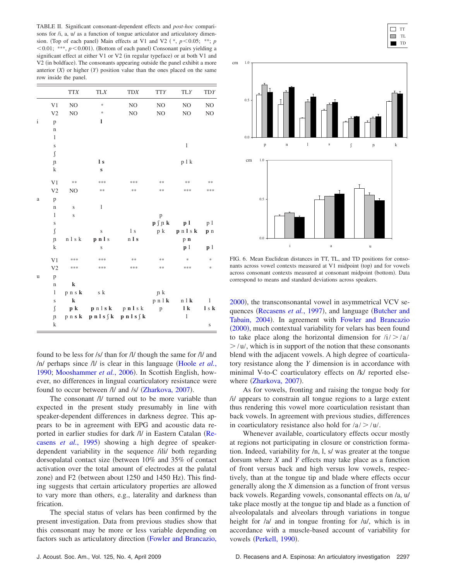<span id="page-9-0"></span>TABLE II. Significant consonant-dependent effects and *post-hoc* comparisons for  $\ell$ , a,  $u$  as a function of tongue articulator and articulatory dimension. (Top of each panel) Main effects at V1 and V2  $(*, p<0.05; **; p)$  $<$  0.01; \*\*\*,  $p$  < 0.001). (Bottom of each panel) Consonant pairs yielding a significant effect at either V1 or V2 (in regular typeface) or at both V1 and V2 (in boldface). The consonants appearing outside the panel exhibit a more anterior  $(X)$  or higher  $(Y)$  position value than the ones placed on the same row inside the panel.

|              |                | <b>TTX</b>                | <b>TLX</b>         | <b>TDX</b>          | <b>TTY</b>                              | <b>TLY</b>     | <b>TDY</b>     |
|--------------|----------------|---------------------------|--------------------|---------------------|-----------------------------------------|----------------|----------------|
|              | V <sub>1</sub> | NO                        | $\ast$             | N <sub>O</sub>      | NO                                      | NO             | NO             |
|              | V <sub>2</sub> | NO                        | *                  | NO                  | NO                                      | NO             | N <sub>O</sub> |
| $\mathbf{i}$ | p              |                           | l                  |                     |                                         |                |                |
|              | $\mathbf n$    |                           |                    |                     |                                         |                |                |
|              | $\mathbf{1}$   |                           |                    |                     |                                         |                |                |
|              | S              |                           |                    |                     |                                         | $\mathbf{1}$   |                |
|              | $\int$         |                           |                    |                     |                                         |                |                |
|              | $\mathbf{p}$   |                           | l s                |                     |                                         | $p_1 k$        |                |
|              | $\mathbf k$    |                           | $\mathbf{s}$       |                     |                                         |                |                |
|              | V <sub>1</sub> | $**$                      | ***                | ***                 | **                                      | **             | **             |
|              | V <sub>2</sub> | N <sub>O</sub>            | **                 | **                  | **                                      | ***            | ***            |
| $\rm{a}$     | p              |                           |                    |                     |                                         |                |                |
|              | $\mathbf n$    | S                         | 1                  |                     |                                         |                |                |
|              | $\mathbf{1}$   | $\mathbf S$               |                    |                     | p                                       |                |                |
|              | S              |                           |                    |                     | $\mathbf{p} \int \mathbf{n} \mathbf{k}$ | p <sub>l</sub> | p <sub>1</sub> |
|              | $\int$         |                           | S                  | 1 <sub>s</sub>      | p k                                     | p n l s k      | p n            |
|              | $\mathbf{n}$   | n 1 s k                   | pnls               | $n \,$ <b>I</b> $s$ |                                         | p n            |                |
|              | $\mathbf k$    |                           | S                  |                     |                                         | p <sub>1</sub> | p <sub>1</sub> |
|              | V <sub>1</sub> | ***                       | ***                | **                  | **                                      | $\ast$         | $\ast$         |
|              | V <sub>2</sub> | ***                       | ***                | ***                 | **                                      | ***            | $\ast$         |
| $\mathbf u$  | p              |                           |                    |                     |                                         |                |                |
|              | $\mathbf n$    | $\bf k$                   |                    |                     |                                         |                |                |
|              | $\mathbf{1}$   | p n s k                   | s k                |                     | n k                                     |                |                |
|              | S              | $\bf k$                   |                    |                     | pnlk                                    | $n \, 1 \, k$  | $\mathbf{1}$   |
|              | $\int$         | $\mathbf{p}$ $\mathbf{k}$ | pnlsk pnlsk        |                     | $\mathbf{p}$                            | l k            | l s k          |
|              | $\mathbf n$    |                           | pnsk pnlsfk pnlsfk |                     |                                         | $\mathbf{1}$   |                |
|              | $\mathbf k$    |                           |                    |                     |                                         |                | S              |

found to be less for /s/ than for /l/ though the same for /l/ and /n/ perhaps since /l/ is clear in this language ([Hoole](#page-10-0) *et al.*, [1990;](#page-10-0) [Mooshammer](#page-10-20) et al., 2006). In Scottish English, however, no differences in lingual coarticulatory resistance were found to occur between /l/ and /s/ ([Zharkova, 2007](#page-10-10)).

The consonant /l/ turned out to be more variable than expected in the present study presumably in line with speaker-dependent differences in darkness degree. This appears to be in agreement with EPG and acoustic data re-ported in earlier studies for dark /l/ in Eastern Catalan ([Re-](#page-10-21)casens et al.[, 1995](#page-10-21)) showing a high degree of speakerdependent variability in the sequence /ili/ both regarding dorsopalatal contact size (between  $10\%$  and  $35\%$  of contact activation over the total amount of electrodes at the palatal zone) and F2 (between about 1250 and 1450 Hz). This finding suggests that certain articulatory properties are allowed to vary more than others, e.g., laterality and darkness than frication.

The special status of velars has been confirmed by the present investigation. Data from previous studies show that this consonant may be more or less variable depending on factors such as articulatory direction ([Fowler and Brancazio,](#page-10-11)

<span id="page-9-1"></span>

 $\Box$  TT  $\Box$  TL

FIG. 6. Mean Euclidean distances in TT, TL, and TD positions for consonants across vowel contexts measured at V1 midpoint (top) and for vowels across consonant contexts measured at consonant midpoint (bottom). Data correspond to means and standard deviations across speakers.

[2000](#page-10-11)), the transconsonantal vowel in asymmetrical VCV se-quences ([Recasens](#page-10-2) *et al.*, 1997), and language ([Butcher and](#page-10-12) [Tabain, 2004](#page-10-12)). In agreement with [Fowler and Brancazio](#page-10-11) ([2000](#page-10-11)), much contextual variability for velars has been found to take place along the horizontal dimension for  $/i$  >/a/  $>$ /u/, which is in support of the notion that these consonants blend with the adjacent vowels. A high degree of coarticulatory resistance along the *Y* dimension is in accordance with minimal V-to-C coarticulatory effects on /k/ reported else-where ([Zharkova, 2007](#page-10-10)).

As for vowels, fronting and raising the tongue body for /i/ appears to constrain all tongue regions to a large extent thus rendering this vowel more coarticulation resistant than back vowels. In agreement with previous studies, differences in coarticulatory resistance also hold for  $/a$  /  $>$  /u/.

Whenever available, coarticulatory effects occur mostly at regions not participating in closure or constriction formation. Indeed, variability for /n, l, s/ was greater at the tongue dorsum where *X* and *Y* effects may take place as a function of front versus back and high versus low vowels, respectively, than at the tongue tip and blade where effects occur generally along the *X* dimension as a function of front versus back vowels. Regarding vowels, consonantal effects on /a, u/ take place mostly at the tongue tip and blade as a function of alveolopalatals and alveolars through variations in tongue height for /a/ and in tongue fronting for /u/, which is in accordance with a muscle-based account of variability for vowels ([Perkell, 1990](#page-10-15)).